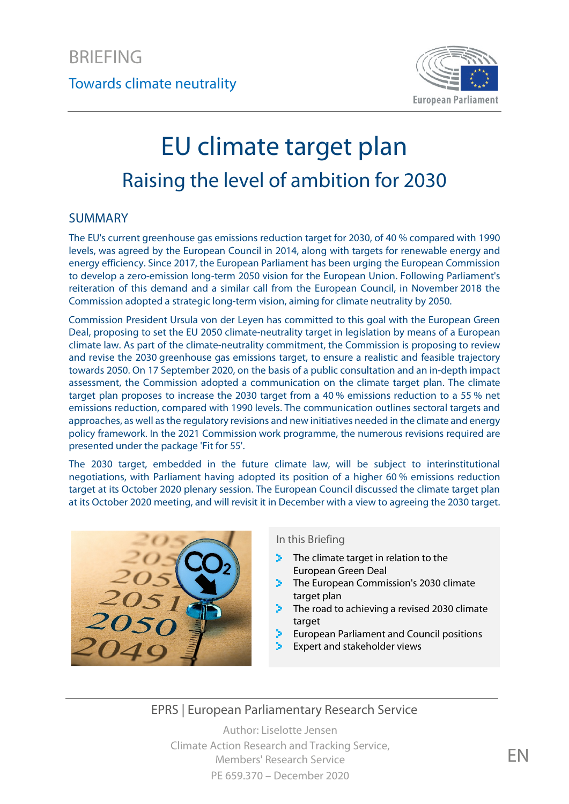

### Towards climate neutrality

# EU climate target plan Raising the level of ambition for 2030

#### SUMMARY

The EU's current greenhouse gas emissions reduction target for 2030, of 40 % compared with 1990 levels, was agreed by the European Council in 2014, along with targets for renewable energy and energy efficiency. Since 2017, the European Parliament has been urging the European Commission to develop a zero-emission long-term 2050 vision for the European Union. Following Parliament's reiteration of this demand and a similar call from the European Council, in November 2018 the Commission adopted a strategic long-term vision, aiming for climate neutrality by 2050.

Commission President Ursula von der Leyen has committed to this goal with the European Green Deal, proposing to set the EU 2050 climate-neutrality target in legislation by means of a European climate law. As part of the climate-neutrality commitment, the Commission is proposing to review and revise the 2030 greenhouse gas emissions target, to ensure a realistic and feasible trajectory towards 2050. On 17 September 2020, on the basis of a public consultation and an in-depth impact assessment, the Commission adopted a communication on the climate target plan. The climate target plan proposes to increase the 2030 target from a 40 % emissions reduction to a 55 % net emissions reduction, compared with 1990 levels. The communication outlines sectoral targets and approaches, as well asthe regulatory revisions and new initiatives needed in the climate and energy policy framework. In the 2021 Commission work programme, the numerous revisions required are presented under the package 'Fit for 55'.

The 2030 target, embedded in the future climate law, will be subject to interinstitutional negotiations, with Parliament having adopted its position of a higher 60 % emissions reduction target at its October 2020 plenary session. The European Council discussed the climate target plan at its October 2020 meeting, and will revisit it in December with a view to agreeing the 2030 target.



#### In this Briefing

- [The climate target in relation to the](#page-1-0)  У. [European Green Deal](#page-1-0)
- **The European Commission's 2030 climate** [target plan](#page-2-0)
- [The road to achieving a revised 2030 climate](#page-4-0)  [target](#page-4-0)
- [European Parliament and Council positions](#page-5-0)
- [Expert and stakeholder views](#page-5-1)

### EPRS | European Parliamentary Research Service

Author: Liselotte Jensen Climate Action Research and Tracking Service, Members' Research Service PE 659.370 – December 2020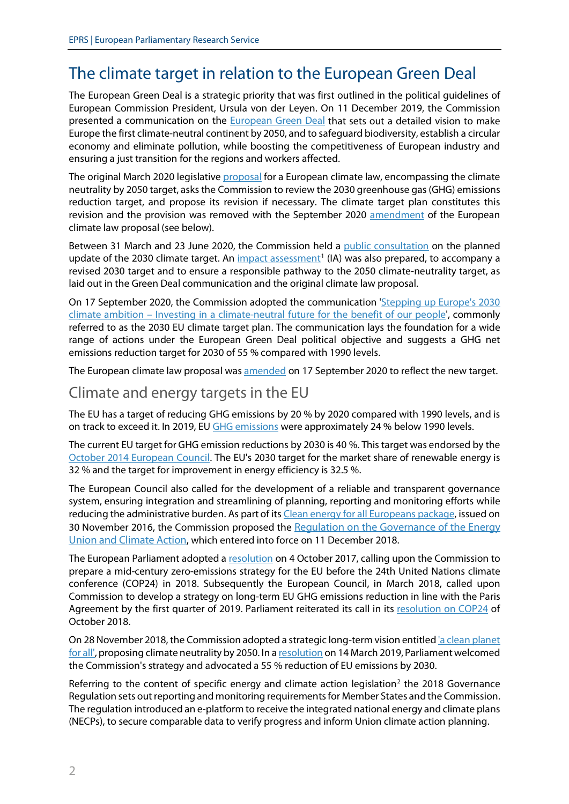# <span id="page-1-0"></span>The climate target in relation to the European Green Deal

The European Green Deal is a strategic priority that was first outlined in the political guidelines of European Commission President, Ursula von der Leyen. On 11 December 2019, the Commission presented a communication on the [European Green Deal](https://eur-lex.europa.eu/legal-content/EN/TXT/?uri=COM:2019:640:FIN) that sets out a detailed vision to make Europe the first climate-neutral continent by 2050, and to safeguard biodiversity, establish a circular economy and eliminate pollution, while boosting the competitiveness of European industry and ensuring a just transition for the regions and workers affected.

The original March 2020 legislativ[e proposal](https://eur-lex.europa.eu/legal-content/EN/TXT/?uri=CELEX:52020PC0080) for a European climate law, encompassing the climate neutrality by 2050 target, asks the Commission to review the 2030 greenhouse gas (GHG) emissions reduction target, and propose its revision if necessary. The climate target plan constitutes this revision and the provision was removed with the September 2020 [amendment](https://eur-lex.europa.eu/legal-content/EN/TXT/?uri=CELEX%3A52020PC0563&qid=1605203382901) of the European climate law proposal (see below).

Between 31 March and 23 June 2020, the Commission held a [public consultation](https://ec.europa.eu/info/law/better-regulation/have-your-say/initiatives/12265-2030-Climate-Target-Plan/public-consultation) on the planned update of the 2030 climate target. An  $\overline{\text{impact}}$  assessment<sup>[1](#page-7-0)</sup> (IA) was also prepared, to accompany a revised 2030 target and to ensure a responsible pathway to the 2050 climate-neutrality target, as laid out in the Green Deal communication and the original climate law proposal.

On 17 September 2020, the Commission adopted the communication ['Stepping up Europe's 2030](https://eur-lex.europa.eu/legal-content/EN/TXT/?uri=CELEX:52020DC0562)  climate ambition – [Investing in a climate-neutral future for the benefit of our people',](https://eur-lex.europa.eu/legal-content/EN/TXT/?uri=CELEX:52020DC0562) commonly referred to as the 2030 EU climate target plan. The communication lays the foundation for a wide range of actions under the European Green Deal political objective and suggests a GHG net emissions reduction target for 2030 of 55 % compared with 1990 levels.

The European climate law proposal wa[s amended](https://eur-lex.europa.eu/legal-content/EN/TXT/?uri=CELEX%3A52020PC0563&qid=1605203382901) on 17 September 2020 to reflect the new target.

### Climate and energy targets in the EU

The EU has a target of reducing GHG emissions by 20 % by 2020 compared with 1990 levels, and is on track to exceed it. In 2019, E[U GHG emissions](https://www.eea.europa.eu/highlights/sharpest-decrease-of-the-decade) were approximately 24 % below 1990 levels.

The current EU target for GHG emission reductions by 2030 is 40 %. This target was endorsed by the [October 2014 European Council.](https://www.consilium.europa.eu/en/meetings/european-council/2014/10/23-24/) The EU's 2030 target for the market share of renewable energy is 32 % and the target for improvement in energy efficiency is 32.5 %.

The European Council also called for the development of a reliable and transparent governance system, ensuring integration and streamlining of planning, reporting and monitoring efforts while reducing the administrative burden. As part of it[s Clean energy for all Europeans package,](https://ec.europa.eu/energy/topics/energy-strategy/clean-energy-all-europeans_en) issued on 30 November 2016, the Commission proposed the Regulation on the Governance of the Energy [Union and Climate Action,](https://eur-lex.europa.eu/legal-content/EN/TXT/?uri=uriserv:OJ.L_.2018.328.01.0001.01.ENG&toc=OJ:L:2018:328:TOC) which entered into force on 11 December 2018.

The European Parliament adopted a [resolution](https://www.europarl.europa.eu/doceo/document/TA-8-2017-0380_EN.html?redirect) on 4 October 2017, calling upon the Commission to prepare a mid-century zero-emissions strategy for the EU before the 24th United Nations climate conference (COP24) in 2018. Subsequently the European Council, in March 2018, called upon Commission to develop a strategy on long-term EU GHG emissions reduction in line with the Paris Agreement by the first quarter of 2019. Parliament reiterated its call in its [resolution on COP24](https://www.europarl.europa.eu/doceo/document/TA-8-2018-0430_EN.html?redirect) of October 2018.

On 28 November 2018, the Commission adopted a strategic long-term vision entitled 'a clean planet [for all',](https://eur-lex.europa.eu/legal-content/EN/ALL/?uri=COM:2018:0773:FIN) proposing climate neutrality by 2050. In [a resolution](https://www.europarl.europa.eu/doceo/document/TA-8-2019-0217_EN.html?redirect) on 14 March 2019, Parliament welcomed the Commission's strategy and advocated a 55 % reduction of EU emissions by 2030.

Referring to the content of specific energy and climate action legislation<sup>[2](#page-7-1)</sup> the 2018 Governance Regulation sets out reporting and monitoring requirements for Member States and the Commission. The regulation introduced an e-platform to receive the integrated national energy and climate plans (NECPs), to secure comparable data to verify progress and inform Union climate action planning.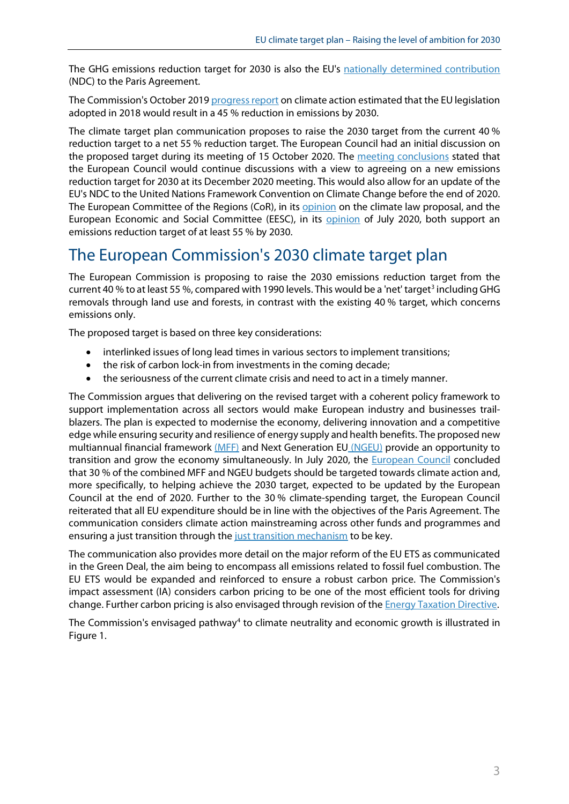The GHG emissions reduction target for 2030 is also the EU's [nationally determined contribution](https://www4.unfccc.int/sites/ndcstaging/PublishedDocuments/European%20Union%20First/LV-03-06-EU%20INDC.pdf) (NDC) to the Paris Agreement.

The Commission's October 201[9 progress report](https://eur-lex.europa.eu/legal-content/EN/TXT/?uri=CELEX:52019DC0559) on climate action estimated that the EU legislation adopted in 2018 would result in a 45 % reduction in emissions by 2030.

The climate target plan communication proposes to raise the 2030 target from the current 40 % reduction target to a net 55 % reduction target. The European Council had an initial discussion on the proposed target during its meeting of 15 October 2020. The [meeting conclusions](https://www.consilium.europa.eu/en/press/press-releases/2020/10/16/european-council-conclusions-on-covid-19-and-climate-change-15-october-2020/) stated that the European Council would continue discussions with a view to agreeing on a new emissions reduction target for 2030 at its December 2020 meeting. This would also allow for an update of the EU's NDC to the United Nations Framework Convention on Climate Change before the end of 2020. The European Committee of the Regions (CoR), in its **opinion** on the climate law proposal, and the European Economic and Social Committee (EESC), in its [opinion](https://www.eesc.europa.eu/en/our-work/opinions-information-reports/opinions/european-climate-law) of July 2020, both support an emissions reduction target of at least 55 % by 2030.

# <span id="page-2-0"></span>The European Commission's 2030 climate target plan

The European Commission is proposing to raise the 2030 emissions reduction target from the current 40 % to at least 55 %, compared with 1990 levels. This would be a 'net' target<sup>3</sup> including GHG removals through land use and forests, in contrast with the existing 40 % target, which concerns emissions only.

The proposed target is based on three key considerations:

- interlinked issues of long lead times in various sectors to implement transitions;
- the risk of carbon lock-in from investments in the coming decade;
- the seriousness of the current climate crisis and need to act in a timely manner.

The Commission argues that delivering on the revised target with a coherent policy framework to support implementation across all sectors would make European industry and businesses trailblazers. The plan is expected to modernise the economy, delivering innovation and a competitive edge while ensuring security and resilience of energy supply and health benefits. The proposed new multiannual financial framework [\(MFF\)](https://epthinktank.eu/2018/09/24/post-2020-multiannual-financial-framework/) and Next Generation EU [\(NGEU\)](https://www.europarl.europa.eu/thinktank/en/document.html?reference=EPRS_BRI(2020)652000) provide an opportunity to transition and grow the economy simultaneously. In July 2020, the [European Council](https://www.consilium.europa.eu/media/45109/210720-euco-final-conclusions-en.pdf) concluded that 30 % of the combined MFF and NGEU budgets should be targeted towards climate action and, more specifically, to helping achieve the 2030 target, expected to be updated by the European Council at the end of 2020. Further to the 30 % climate-spending target, the European Council reiterated that all EU expenditure should be in line with the objectives of the Paris Agreement. The communication considers climate action mainstreaming across other funds and programmes and ensuring a just transition through th[e just transition mechanism](https://www.europarl.europa.eu/RegData/etudes/ATAG/2020/646151/EPRS_ATA(2020)646151_EN.pdf) to be key.

The communication also provides more detail on the major reform of the EU ETS as communicated in the Green Deal, the aim being to encompass all emissions related to fossil fuel combustion. The EU ETS would be expanded and reinforced to ensure a robust carbon price. The Commission's impact assessment (IA) considers carbon pricing to be one of the most efficient tools for driving change. Further carbon pricing is also envisaged through revision of the [Energy Taxation Directive.](https://ec.europa.eu/info/law/better-regulation/have-your-say/initiatives/12227-Revision-of-the-Energy-Tax-Directive)

The Commission's envisaged pathway<sup>[4](#page-7-3)</sup> to climate neutrality and economic growth is illustrated in Figure 1.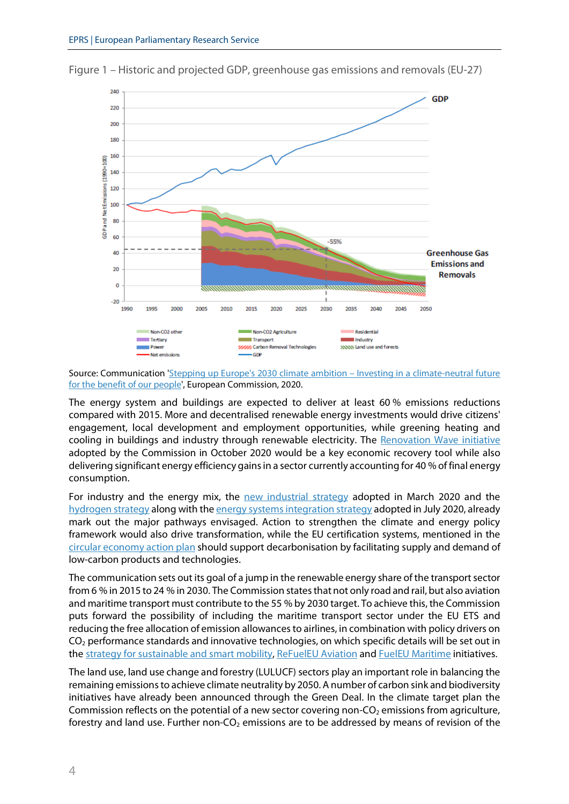

Figure 1 – Historic and projected GDP, greenhouse gas emissions and removals (EU-27)

Source: Communication ['Stepping up Europe's 2030 climate ambition – Investing in a climate-neutral future](https://eur-lex.europa.eu/legal-content/EN/TXT/?uri=CELEX:52020DC0562)  [for the benefit of our people',](https://eur-lex.europa.eu/legal-content/EN/TXT/?uri=CELEX:52020DC0562) European Commission, 2020.

The energy system and buildings are expected to deliver at least 60 % emissions reductions compared with 2015. More and decentralised renewable energy investments would drive citizens' engagement, local development and employment opportunities, while greening heating and cooling in buildings and industry through renewable electricity. The [Renovation Wave initiative](https://ec.europa.eu/energy/sites/ener/files/eu_renovation_wave_strategy.pdf) adopted by the Commission in October 2020 would be a key economic recovery tool while also delivering significant energy efficiency gains in a sector currently accounting for 40 % of final energy consumption.

For industry and the energy mix, the [new industrial strategy](https://ec.europa.eu/info/sites/info/files/communication-eu-industrial-strategy-march-2020_en.pdf) adopted in March 2020 and the [hydrogen strategy](https://ec.europa.eu/energy/sites/ener/files/hydrogen_strategy.pdf) along with th[e energy systems integration strategy](https://ec.europa.eu/energy/sites/ener/files/energy_system_integration_strategy_.pdf) adopted in July 2020, already mark out the major pathways envisaged. Action to strengthen the climate and energy policy framework would also drive transformation, while the EU certification systems, mentioned in the [circular economy action plan](https://ec.europa.eu/environment/circular-economy/pdf/new_circular_economy_action_plan.pdf) should support decarbonisation by facilitating supply and demand of low-carbon products and technologies.

The communication sets out its goal of a jump in the renewable energy share of the transport sector from 6 % in 2015 to 24 % in 2030. The Commission states that not only road and rail, but also aviation and maritime transport must contribute to the 55 % by 2030 target. To achieve this, the Commission puts forward the possibility of including the maritime transport sector under the EU ETS and reducing the free allocation of emission allowances to airlines, in combination with policy drivers on CO2 performance standards and innovative technologies, on which specific details will be set out in th[e strategy for sustainable and smart mobility,](https://ec.europa.eu/info/law/better-regulation/have-your-say/initiatives/12438-Sustainable-and-Smart-Mobility-Strategy) [ReFuelEU Aviation](https://ec.europa.eu/info/law/better-regulation/have-your-say/initiatives/12303-ReFuelEU-Aviation-Sustainable-Aviation-Fuels) an[d FuelEU Maritime](https://ec.europa.eu/info/law/better-regulation/have-your-say/initiatives/12312-FuelEU-Maritime-) initiatives.

The land use, land use change and forestry (LULUCF) sectors play an important role in balancing the remaining emissions to achieve climate neutrality by 2050. A number of carbon sink and biodiversity initiatives have already been announced through the Green Deal. In the climate target plan the Commission reflects on the potential of a new sector covering non- $CO<sub>2</sub>$  emissions from agriculture, forestry and land use. Further non- $CO<sub>2</sub>$  emissions are to be addressed by means of revision of the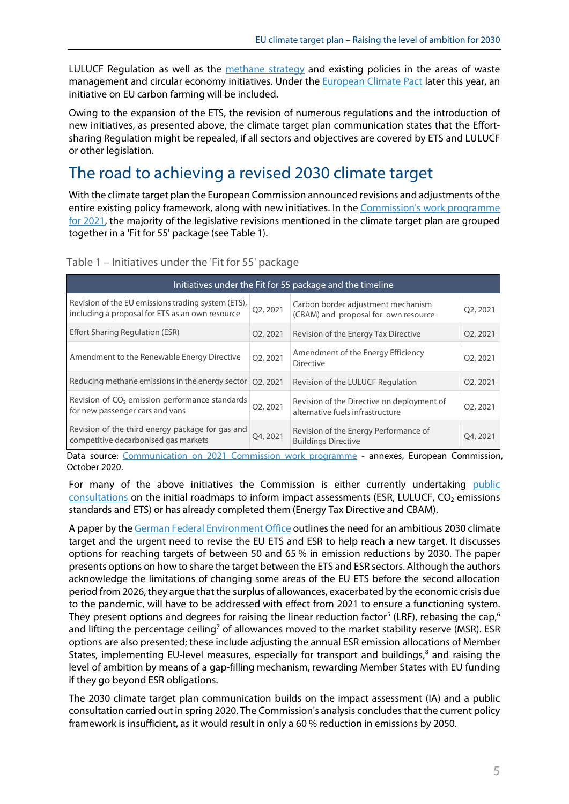LULUCF Regulation as well as the [methane strategy](https://eur-lex.europa.eu/legal-content/EN/TXT/?uri=CELEX%3A52020DC0663&qid=1605022758508) and existing policies in the areas of waste management and circular economy initiatives. Under the **European Climate Pact later this year**, an initiative on EU carbon farming will be included.

Owing to the expansion of the ETS, the revision of numerous regulations and the introduction of new initiatives, as presented above, the climate target plan communication states that the Effortsharing Regulation might be repealed, if all sectors and objectives are covered by ETS and LULUCF or other legislation.

# <span id="page-4-0"></span>The road to achieving a revised 2030 climate target

With the climate target plan the European Commission announced revisions and adjustments of the entire existing policy framework, along with new initiatives. In the [Commission's work programme](https://ec.europa.eu/info/publications/2021-commission-work-programme-key-documents_en)  [for 2021,](https://ec.europa.eu/info/publications/2021-commission-work-programme-key-documents_en) the majority of the legislative revisions mentioned in the climate target plan are grouped together in a 'Fit for 55' package (see Table 1).

| Initiatives under the Fit for 55 package and the timeline                                             |          |                                                                                |          |
|-------------------------------------------------------------------------------------------------------|----------|--------------------------------------------------------------------------------|----------|
| Revision of the EU emissions trading system (ETS),<br>including a proposal for ETS as an own resource | Q2, 2021 | Carbon border adjustment mechanism<br>(CBAM) and proposal for own resource     | Q2, 2021 |
| Effort Sharing Regulation (ESR)                                                                       | Q2, 2021 | Revision of the Energy Tax Directive                                           | Q2, 2021 |
| Amendment to the Renewable Energy Directive                                                           | Q2, 2021 | Amendment of the Energy Efficiency<br><b>Directive</b>                         | Q2, 2021 |
| Reducing methane emissions in the energy sector                                                       | Q2, 2021 | Revision of the LULUCF Regulation                                              | Q2, 2021 |
| Revision of CO <sub>2</sub> emission performance standards<br>for new passenger cars and vans         | Q2, 2021 | Revision of the Directive on deployment of<br>alternative fuels infrastructure | Q2, 2021 |
| Revision of the third energy package for gas and<br>competitive decarbonised gas markets              | Q4, 2021 | Revision of the Energy Performance of<br><b>Buildings Directive</b>            | Q4, 2021 |

#### Table 1 – Initiatives under the 'Fit for 55' package

Data source: [Communication on 2021 Commission work programme](https://eur-lex.europa.eu/legal-content/EN/TXT/?uri=CELEX:52020DC0562https://ec.europa.eu/info/publications/2021-commission-work-programme-key-documents_en) - annexes, European Commission, October 2020.

For many of the above initiatives the Commission is either currently undertaking public [consultations](https://ec.europa.eu/info/law/better-regulation/have-your-say/initiatives?&topic=CLIMA) on the initial roadmaps to inform impact assessments (ESR, LULUCF, CO<sub>2</sub> emissions standards and ETS) or has already completed them (Energy Tax Directive and CBAM).

A paper by the [German Federal Environment Office](https://www.umweltbundesamt.de/publikationen/raising-the-eu-2030-ghg-emission-reduction-target) outlines the need for an ambitious 2030 climate target and the urgent need to revise the EU ETS and ESR to help reach a new target. It discusses options for reaching targets of between 50 and 65 % in emission reductions by 2030. The paper presents options on how to share the target between the ETS and ESR sectors. Although the authors acknowledge the limitations of changing some areas of the EU ETS before the second allocation period from 2026, they argue that the surplus of allowances, exacerbated by the economic crisis due to the pandemic, will have to be addressed with effect from 2021 to ensure a functioning system. They present options and degrees for raising the linear reduction factor<sup>[5](#page-7-4)</sup> (LRF), rebasing the cap,<sup>[6](#page-7-5)</sup> and lifting the percentage ceiling<sup>[7](#page-7-6)</sup> of allowances moved to the market stability reserve (MSR). ESR options are also presented; these include adjusting the annual ESR emission allocations of Member States, implementing EU-level measures, especially for transport and buildings,<sup>[8](#page-7-7)</sup> and raising the level of ambition by means of a gap-filling mechanism, rewarding Member States with EU funding if they go beyond ESR obligations.

The 2030 climate target plan communication builds on the impact assessment (IA) and a public consultation carried out in spring 2020. The Commission's analysis concludes that the current policy framework is insufficient, as it would result in only a 60 % reduction in emissions by 2050.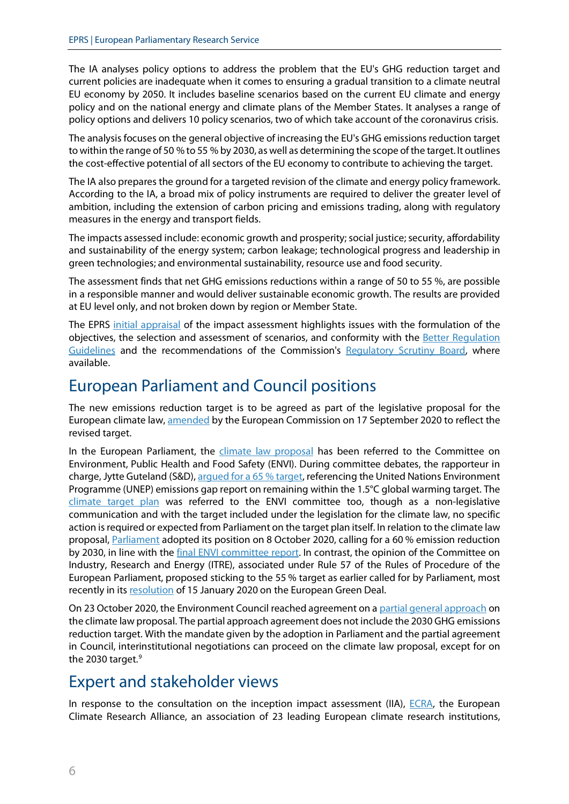The IA analyses policy options to address the problem that the EU's GHG reduction target and current policies are inadequate when it comes to ensuring a gradual transition to a climate neutral EU economy by 2050. It includes baseline scenarios based on the current EU climate and energy policy and on the national energy and climate plans of the Member States. It analyses a range of policy options and delivers 10 policy scenarios, two of which take account of the coronavirus crisis.

The analysis focuses on the general objective of increasing the EU's GHG emissions reduction target to within the range of 50 % to 55 % by 2030, as well as determining the scope of the target. It outlines the cost-effective potential of all sectors of the EU economy to contribute to achieving the target.

The IA also prepares the ground for a targeted revision of the climate and energy policy framework. According to the IA, a broad mix of policy instruments are required to deliver the greater level of ambition, including the extension of carbon pricing and emissions trading, along with regulatory measures in the energy and transport fields.

The impacts assessed include: economic growth and prosperity; social justice; security, affordability and sustainability of the energy system; carbon leakage; technological progress and leadership in green technologies; and environmental sustainability, resource use and food security.

The assessment finds that net GHG emissions reductions within a range of 50 to 55 %, are possible in a responsible manner and would deliver sustainable economic growth. The results are provided at EU level only, and not broken down by region or Member State.

The EPRS [initial appraisal](http://www.europarl.europa.eu/thinktank/en/document.html?reference=EPRS_BRI(2020)654190) of the impact assessment highlights issues with the formulation of the objectives, the selection and assessment of scenarios, and conformity with the [Better Regulation](https://ec.europa.eu/info/law/law-making-process/planning-and-proposing-law/better-regulation-why-and-how/better-regulation-guidelines-and-toolbox_en)  [Guidelines](https://ec.europa.eu/info/law/law-making-process/planning-and-proposing-law/better-regulation-why-and-how/better-regulation-guidelines-and-toolbox_en) and the recommendations of the Commission's [Regulatory Scrutiny Board,](https://ec.europa.eu/info/law/law-making-process/regulatory-scrutiny-board/regulatory-scrutiny-board-business-plan-2020_en) where available.

# <span id="page-5-0"></span>European Parliament and Council positions

The new emissions reduction target is to be agreed as part of the legislative proposal for the European climate law[, amended](https://eur-lex.europa.eu/legal-content/EN/TXT/?uri=CELEX%3A52020PC0563&qid=1605203382901) by the European Commission on 17 September 2020 to reflect the revised target.

In the European Parliament, the [climate law proposal](https://oeil.secure.europarl.europa.eu/oeil/popups/ficheprocedure.do?reference=2020/0036(COD)&l=en) has been referred to the Committee on Environment, Public Health and Food Safety (ENVI). During committee debates, the rapporteur in charge, Jytte Guteland (S&D), [argued for a 65](https://www.europarl.europa.eu/doceo/document/ENVI-PR-648563_EN.html) % target, referencing the United Nations Environment Programme (UNEP) emissions gap report on remaining within the 1.5°C global warming target. The [climate target plan](https://oeil.secure.europarl.europa.eu/oeil/popups/ficheprocedure.do?reference=SWD(2020)0178&l=en) was referred to the ENVI committee too, though as a non-legislative communication and with the target included under the legislation for the climate law, no specific action is required or expected from Parliament on the target plan itself. In relation to the climate law proposal, [Parliament](https://oeil.secure.europarl.europa.eu/oeil/popups/ficheprocedure.do?reference=2020/0036(COD)&l=en) adopted its position on 8 October 2020, calling for a 60 % emission reduction by 2030, in line with the [final ENVI committee](https://www.europarl.europa.eu/doceo/document/A-9-2020-0162_EN.html) report. In contrast, the opinion of the Committee on Industry, Research and Energy (ITRE), associated under Rule 57 of the Rules of Procedure of the European Parliament, proposed sticking to the 55 % target as earlier called for by Parliament, most recently in it[s resolution](https://www.europarl.europa.eu/doceo/document/TA-9-2020-0005_EN.html) of 15 January 2020 on the European Green Deal.

On 23 October 2020, the Environment Council reached agreement on a [partial general approach](https://eur-lex.europa.eu/legal-content/EN/TXT/?uri=CONSIL:ST_12261_2020_INIT) on the climate law proposal. The partial approach agreement does not include the 2030 GHG emissions reduction target. With the mandate given by the adoption in Parliament and the partial agreement in Council, interinstitutional negotiations can proceed on the climate law proposal, except for on the 2030 target.<sup>[9](#page-7-8)</sup>

# <span id="page-5-1"></span>Expert and stakeholder views

In response to the consultation on the inception impact assessment (IIA),  $ECRA$ , the European Climate Research Alliance, an association of 23 leading European climate research institutions,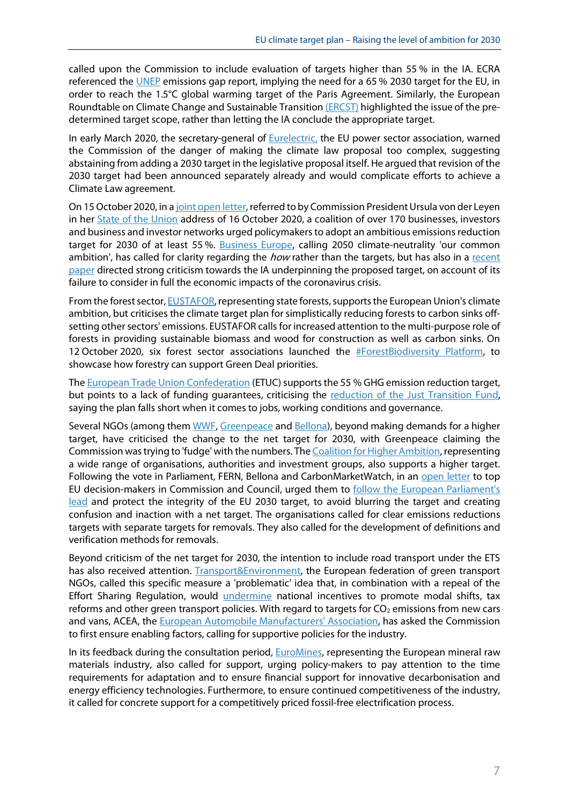called upon the Commission to include evaluation of targets higher than 55 % in the IA. ECRA referenced the [UNEP](https://www.unenvironment.org/resources/emissions-gap-report-2019) emissions gap report, implying the need for a 65 % 2030 target for the EU, in order to reach the 1.5°C global warming target of the Paris Agreement. Similarly, the European Roundtable on Climate Change and Sustainable Transitio[n \(ERCST\)](https://ec.europa.eu/info/law/better-regulation/have-your-say/initiatives/12265-2030-Climate-Target-Plan/F511439) highlighted the issue of the predetermined target scope, rather than letting the IA conclude the appropriate target.

In early March 2020, the secretary-general of **Eurelectric**, the EU power sector association, warned the Commission of the danger of making the climate law proposal too complex, suggesting abstaining from adding a 2030 target in the legislative proposal itself. He argued that revision of the 2030 target had been announced separately already and would complicate efforts to achieve a Climate Law agreement.

On 15 October 2020, in [a joint open letter,](https://www.corporateleadersgroup.com/reports-evidence-and-insights/ceos-urge-eu-to-raise-emissions-targets) referred to by Commission President Ursula von der Leyen in he[r State of the Union](https://ec.europa.eu/info/strategy/strategic-planning/state-union-addresses/state-union-2020_en) address of 16 October 2020, a coalition of over 170 businesses, investors and business and investor networks urged policymakers to adopt an ambitious emissions reduction target for 2030 of at least 55%. [Business Europe,](https://www.businesseurope.eu/publications/2030-climate-target-must-be-aligned-strong-eu-industry-strategy) calling 2050 climate-neutrality 'our common ambition', has called for clarity regarding the *how* rather than the targets, but has also in a recent [paper](https://www.euractiv.com/wp-content/uploads/sites/2/2020/11/2030-impact-assessment-points-2020-11-BusinessEurope-Comments-2030-Impact-assessment-1.pdf) directed strong criticism towards the IA underpinning the proposed target, on account of its failure to consider in full the economic impacts of the coronavirus crisis.

From the forest sector, **EUSTAFOR**, representing state forests, supports the European Union's climate ambition, but criticises the climate target plan for simplistically reducing forests to carbon sinks offsetting other sectors' emissions. EUSTAFOR calls for increased attention to the multi-purpose role of forests in providing sustainable biomass and wood for construction as well as carbon sinks. On 12 October 2020, six forest sector associations launched the **#ForestBiodiversity Platform**, to showcase how forestry can support Green Deal priorities.

Th[e European Trade Union Confederation](https://www.etuc.org/en/pressrelease/eu-climate-plan-has-right-ambition-still-not-fair-workers) (ETUC) supports the 55 % GHG emission reduction target, but points to a lack of funding guarantees, criticising the [reduction of the Just Transition Fund,](http://www.europarl.europa.eu/thinktank/en/document.html?reference=EPRS_BRI(2020)646180) saying the plan falls short when it comes to jobs, working conditions and governance.

Several NGOs (among the[m WWF,](https://www.wwf.eu/?uNewsID=853566) [Greenpeace](https://www.greenpeace.org/eu-unit/issues/climate-energy/45045/eu-commission-55-2030-climate-target-trying-to-negotiate-with-nature/) and [Bellona\)](https://bellona.org/news/eu/2020-10-european-parliament-votes-to-defend-honest-accounting-within-the-eu-climate-law), beyond making demands for a higher target, have criticised the change to the net target for 2030, with Greenpeace claiming the Commission was trying to 'fudge' with the numbers. Th[e Coalition for Higher Ambition,](https://mk0eeborgicuypctuf7e.kinstacdn.com/wp-content/uploads/2020/10/Letter-on-EU-2030-Climate-Target-2.pdf) representing a wide range of organisations, authorities and investment groups, also supports a higher target. Following the vote in Parliament, FERN, Bellona and CarbonMarketWatch, in an [open letter](https://network.bellona.org/content/uploads/sites/3/2020/10/Open-Letter-to-MS-1.pdf) to top EU decision-makers in Commission and Council, urged them to [follow the European Parliament's](https://bellona.org/news/eu/2020-10-european-parliament-votes-to-defend-honest-accounting-within-the-eu-climate-law)  [lead](https://bellona.org/news/eu/2020-10-european-parliament-votes-to-defend-honest-accounting-within-the-eu-climate-law) and protect the integrity of the EU 2030 target, to avoid blurring the target and creating confusion and inaction with a net target. The organisations called for clear emissions reductions targets with separate targets for removals. They also called for the development of definitions and verification methods for removals.

Beyond criticism of the net target for 2030, the intention to include road transport under the ETS has also received attention. [Transport&Environment,](https://energypost.eu/changes-to-national-targets-and-forestry-mean-ecs-55-plan-is-weaker-than-it-looks/) the European federation of green transport NGOs, called this specific measure a 'problematic' idea that, in combination with a repeal of the Effort Sharing Regulation, would *[undermine](https://www.transportenvironment.org/newsroom/blog/road-transport-eu-ets-high-risk-low-reward-strategy)* national incentives to promote modal shifts, tax reforms and other green transport policies. With regard to targets for  $CO<sub>2</sub>$  emissions from new cars and vans, ACEA, the [European Automobile Manufacturers'](https://www.acea.be/press-releases/article/climate-target-ambition-must-be-matched-by-supportive-eu-policies-auto-make) Association, has asked the Commission to first ensure enabling factors, calling for supportive policies for the industry.

In its feedback during the consultation period, **EuroMines**, representing the European mineral raw materials industry, also called for support, urging policy-makers to pay attention to the time requirements for adaptation and to ensure financial support for innovative decarbonisation and energy efficiency technologies. Furthermore, to ensure continued competitiveness of the industry, it called for concrete support for a competitively priced fossil-free electrification process.